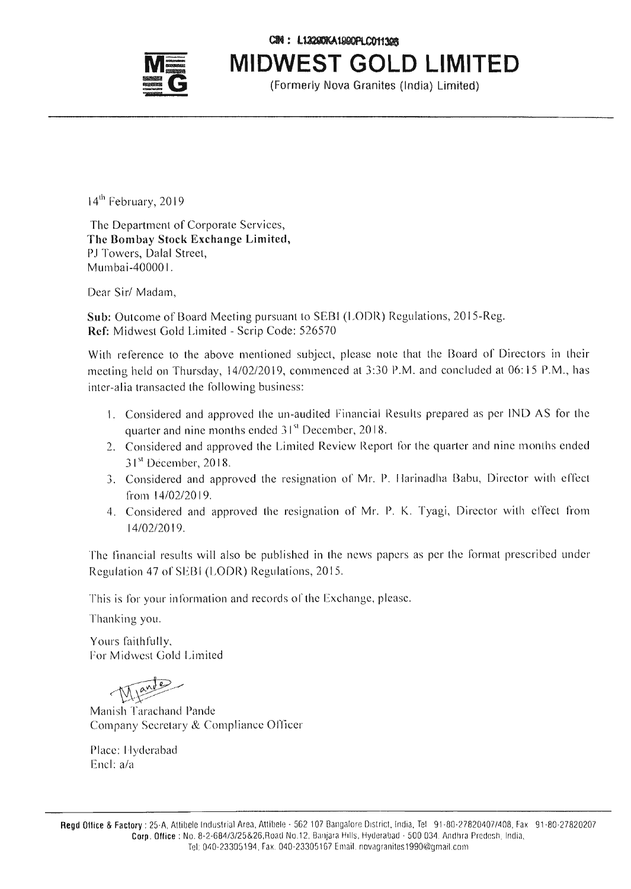C2M: L12290KA1990PLC011398



**MIDWEST GOLD LIMITED**

(Formerly Nova Granites (India) Limited)

14<sup>th</sup> February, 2019

The Department of Corporate Services, The Bombay Stock Exchange Limited, PJ Towers, Dalal Street, Mumbai-40000 I.

Dear Sir/ Madam,

Sub: Outcome of Board Meeting pursuant to SEBI (LODR) Regulations, 20 IS-Reg. Ref: Midwest Gold Limited - Scrip Code: 526570

With reference to the above mentioned subject, please note that the Board of Directors in their meeting held on Thursday, *14/02/2019,* commenced at 3:30 P.M. and concluded at 06: 15 P.M., has inter-alia transacted the following business:

- 1. Considered and approved the un-audited Financial Results prepared as per IND AS for the . 61 quarter and nine months ended  $31<sup>st</sup>$  December, 2018.
- *J* Considered and approved the Limited Review Report for the quarter and nine months ended 31<sup>st</sup> December, 2018.
- 3. Considered and approved the resignation of Mr. P. 11arinadha Babu, Director with effect from *14/02/2019.*
- 4. Considered and approved the resignation of Mr. P. K. Tyagi, Director with effect from *14102/2019.*

The financial results will also be published in the news papers as per the format prescribed under Regulation 47 of SEBI (LODR) Regulations, 2015.

This is for your information and records of the Exchange, please.

Thanking you.

Yours faithfully, For Midwest Gold Limited

 $\bigwedge$ 

Manish Tarachand Pande Company Secretary & Compliance Officer

Place: Hyderabad Encl: a/a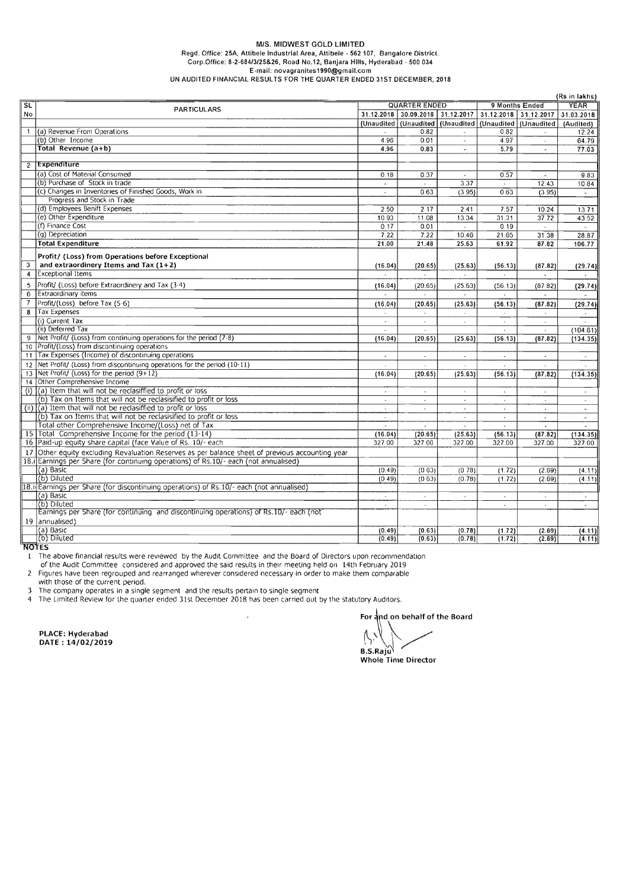## *MIS.* MIDWEST GOLD LIMITED Regd. Office: 25A, Attibele Industrial Area, Attibele - 562 107, Bangalore District. Corp.Office: *8-2-684/3/25&26,* Road No.12, Banjara Hills, Hyderabad - 500 034 E-mail: [novagranites1990@gmail.com](mailto:novagranites1990@gmail.com) UN AUDITED FINANCIAL RESULTS FOR THE QUARTER ENDED 31ST DECEMBER, 2018

|                          |                                                                                              |                          |                             |                       |                      |                                                                | (Rs in lakhs)            |
|--------------------------|----------------------------------------------------------------------------------------------|--------------------------|-----------------------------|-----------------------|----------------------|----------------------------------------------------------------|--------------------------|
| $\overline{\mathsf{SL}}$ | <b>PARTICULARS</b>                                                                           | <b>QUARTER ENDED</b>     |                             |                       | 9 Months Ended       |                                                                | <b>YEAR</b>              |
| No                       |                                                                                              | 31.12.2018               |                             | 30.09.2018 31.12.2017 |                      | 31.12.2018 31.12.2017                                          | 31.03.2018               |
|                          |                                                                                              |                          |                             |                       |                      | (Unaudited   (Unaudited   (Unaudited   (Unaudited   (Unaudited | (Audited)                |
|                          | 1 (a) Revenue From Operations                                                                |                          | 0.82                        |                       | 0.82                 |                                                                | 12.24                    |
|                          | (b) Other Income                                                                             | 4.96                     | 0.01                        | $\sim$                | 4.97                 | $\overline{a}$                                                 | 64,79                    |
|                          | Total Revenue (a+b)                                                                          | 4.96                     | 0.83                        | $\ddot{\phantom{a}}$  | 5.79                 | ÷.                                                             | 77.03                    |
|                          |                                                                                              |                          |                             |                       |                      |                                                                |                          |
|                          | 2 Expenditure                                                                                |                          |                             |                       |                      |                                                                |                          |
|                          | (a) Cost of Material Consumed                                                                |                          |                             |                       |                      |                                                                |                          |
|                          | (b) Purchase of Stock in trade                                                               | 0.18                     | 0.37                        | ÷,                    | 0.57                 | $\sim$                                                         | 9.83                     |
|                          |                                                                                              | $\blacksquare$           |                             | 3.37                  |                      | 12.43                                                          | 10.84                    |
|                          | (c) Changes in Inventories of Finished Goods, Work in                                        | $\sim$                   | 0.63                        | (3.95)                | 0.63                 | (3.95)                                                         |                          |
|                          | Progress and Stock in Trade                                                                  |                          |                             |                       |                      |                                                                |                          |
|                          | (d) Employees Benift Expenses                                                                | 2.50                     | 2 17                        | 2.41                  | 7.57                 | 10.24                                                          | 13.71                    |
|                          | (e) Other Expenditure                                                                        | 10.93                    | 11.08                       | 13.34                 | 31.31                | 37.72                                                          | 43.52                    |
|                          | (f) Finance Cost                                                                             | 0.17                     | 0.01                        | $\sim$                | 0.19                 | $\sim$                                                         | $\sim$                   |
|                          | (g) Depreciation                                                                             | 7.22                     | 7.22                        | 10.46                 | 21.65                | 31.38                                                          | 28.87                    |
|                          | <b>Total Expenditure</b>                                                                     | 21.00                    | 21.48                       | 25 63                 | 61.92                | 87.82                                                          | 106.77                   |
|                          |                                                                                              |                          |                             |                       |                      |                                                                |                          |
|                          | Profit/ (Loss) from Operations before Exceptional                                            |                          |                             |                       |                      |                                                                |                          |
| $\overline{3}$           | and extraordinery Items and Tax $(1+2)$                                                      | (16.04)                  | (20.65)                     | (25.63)               | (56.13)              | (87.82)                                                        | (29.74)                  |
| $\overline{\mathbf{4}}$  | <b>Exceptional Items</b>                                                                     | $\sim$                   | $\mathbf{r}$                | $\sim$                | $\mathbf{r}$         | $\ddot{\phantom{a}}$                                           | $\sim$                   |
| 5                        | Profit/ (Loss) before Extraordinery and Tax (3-4)                                            | (16.04)                  | (20.65)                     | (25.63)               | (56.13)              | (8782)                                                         | (29.74)                  |
| 6                        | Extraordinary items                                                                          |                          |                             |                       |                      |                                                                |                          |
| $\overline{7}$           | Profit/(Loss) before Tax (5.6)                                                               |                          |                             |                       |                      |                                                                |                          |
|                          |                                                                                              | (16.04)                  | (20.65)                     | (25.63)               | (56.13)              | (87.82)                                                        | (29.74)                  |
| 8                        | Tax Expenses                                                                                 |                          |                             |                       |                      |                                                                |                          |
|                          | (i) Current Tax                                                                              | $\omega$                 | $\blacksquare$              | ÷,                    | ÷.                   | $\sim$                                                         |                          |
|                          | (ii) Deferred Tax                                                                            | $\sim$                   | $\mathbf{r}$                |                       | $\mathbf{r}$         | ÷                                                              | (104.61)                 |
|                          | 9 Net Profit/ (Loss) from continuing operations for the period (7-8)                         | (16.04)                  | (20.65)                     | (25.63)               | (56.13)              | (87.82)                                                        | (134.35)                 |
|                          | 10 Profit/(Loss) from discontinuing operations                                               |                          |                             |                       |                      |                                                                |                          |
|                          | 11   Tax Expenses (Income) of discontinuing operations                                       | $\sim$                   | $\sim$                      | $\sim$                | $\sim$               | $\blacksquare$                                                 | $\sim$                   |
|                          | 12 Net Profit/ (Loss) from discontinuing operations for the period (10-11)                   | $\overline{\phantom{a}}$ | $\ddot{\phantom{0}}$        |                       | $\omega$             | ÷                                                              |                          |
|                          | 13 Net Profit/ (Loss) for the period (9+12)                                                  | (16.04)                  | (20.65)                     | (25.63)               | (56.13)              | (87.82)                                                        | (134.35)                 |
|                          | 14 Other Comprehensive Income                                                                |                          |                             |                       |                      |                                                                |                          |
|                          | (i) (a) Item that will not be reclasiffied to profit or loss                                 | $\bullet$                | $\overline{\phantom{a}}$    | $\cdot$               | $\blacksquare$       | $\sim$                                                         | $\sim$                   |
|                          | (b) Tax on Items that will not be reclasisified to profit or loss                            | $\cdot$                  | ÷                           | ÷.                    |                      |                                                                |                          |
|                          | $(ii)$ $(a)$ Item that will not be reclasiffied to profit or loss                            | $\mathbf{r}$             | $\sim$                      | $\sim$                |                      |                                                                | $\overline{\phantom{a}}$ |
|                          | (b) Tax on Items that will not be reclasisified to profit or loss                            |                          |                             |                       | $\mathbf{A}$         | ÷                                                              | $\blacksquare$           |
|                          |                                                                                              | $\mathbf{x}$             |                             | $\mathcal{L}$         | $\mathbf{A}$         | $\sim$                                                         | $\mathcal{L}$            |
|                          | Total other Comprehensive Income/(Loss) net of Tax                                           | $\omega$                 | $\hat{\mathbf{z}}$          | $\sim$                | $\blacksquare$       | ×.                                                             | $\Delta$                 |
|                          | 15 Total Comprehensive Income for the period (13-14)                                         | (16.04)                  | (20.65)                     | (25.63)               | (56.13)              | (87.82)                                                        | (134.35)                 |
|                          | 16 Paid-up equity share capital (face Value of Rs. 10/- each                                 | 327 00                   | 327 00                      | 327.00                | 327.00               | 327.00                                                         | 32700                    |
|                          | Other equity excluding Revaluation Reserves as per balance sheet of previous accounting year |                          |                             |                       |                      |                                                                |                          |
|                          | 18.i Earnings per Share (for continuing operations) of Rs.10/- each (not annualised)         |                          |                             |                       |                      |                                                                |                          |
|                          | (a) Basic                                                                                    | (0.49)                   | (0.63)                      | (078)                 | (1.72)               | (2.69)                                                         | (4.11)                   |
|                          | (b) Diluted                                                                                  | (0.49)                   | (0.63)                      | (0.78)                | (1.72)               | (2.69)                                                         | (4.11)                   |
|                          | 18.ii Earnings per Share (for discontinuing operations) of Rs.10/- each (not annualised)     |                          |                             |                       |                      |                                                                |                          |
|                          | (a) Basic                                                                                    | $\cdot$                  | $\mathcal{L}_{\mathcal{C}}$ | ÷,                    | $\cdot$              | $\lambda$                                                      |                          |
|                          | (b) Diluted                                                                                  | ä,                       |                             |                       | $\ddot{\phantom{a}}$ | $\omega$                                                       | $\overline{a}$           |
|                          | Earnings per Share (for continuing and discontinuing operations) of Rs.10/- each (not        |                          | $\Delta$                    |                       |                      |                                                                |                          |
|                          |                                                                                              |                          |                             |                       |                      |                                                                |                          |
|                          | 19 annualised)                                                                               |                          |                             |                       |                      |                                                                |                          |
|                          | (a) Basic                                                                                    | (0.49)                   | (0.63)                      | (0.78)                | (1.72)               | (2.69)                                                         | (4.11)                   |
|                          | (b) Diluted                                                                                  | (0.49)                   | (0.63)                      | (0.78)                | (1.72)               | (2.69)                                                         | (4.11)                   |

**NOTES** 

The above financial results were reviewed by the Audit Committee and the Board of Directors upon recommendation

of the Audit Committee considered and approved the said results in their meeting held on 14th February 2019

2 Figures have been regrouped and rearranged wherever considered necessary in order to make them comparable

with those of the current period. 3 The company operates in a single segment and the results pertain to single segment

4 The Limited Review for the quarter ended 31st December 2018 has been carried out by the statutory Auditors.

DATE: 14/02/2019 I., '\ ,/'

 $\sum_{i=1}^{\infty}$  $B.S.Rajw$ 

Whole Time Director